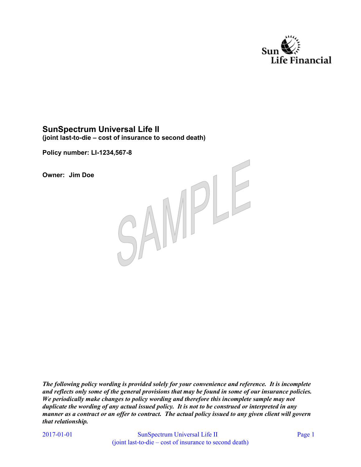

# **SunSpectrum Universal Life II**

**(joint last-to-die – cost of insurance to second death)** 

**Policy number: LI-1234,567-8** 

**Owner: Jim Doe** 



*The following policy wording is provided solely for your convenience and reference. It is incomplete and reflects only some of the general provisions that may be found in some of our insurance policies. We periodically make changes to policy wording and therefore this incomplete sample may not duplicate the wording of any actual issued policy. It is not to be construed or interpreted in any manner as a contract or an offer to contract. The actual policy issued to any given client will govern that relationship.* 

2017-01-01

SunSpectrum Universal Life II Page 1 (joint last-to-die – cost of insurance to second death)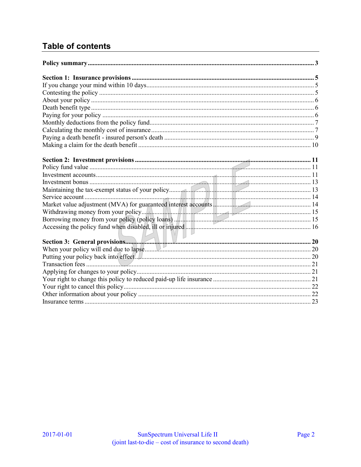# **Table of contents**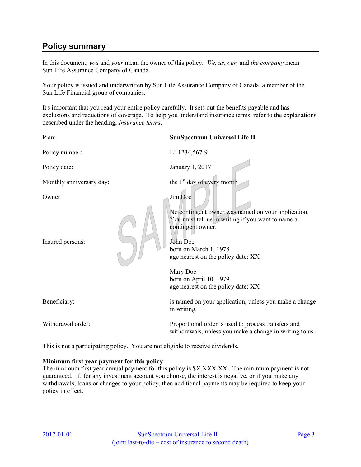# <span id="page-2-0"></span>**Policy summary**

In this document, *you* and *your* mean the owner of this policy. *We, us*, *our,* and *the company* mean Sun Life Assurance Company of Canada.

Your policy is issued and underwritten by Sun Life Assurance Company of Canada, a member of the Sun Life Financial group of companies.

It's important that you read your entire policy carefully. It sets out the benefits payable and has exclusions and reductions of coverage. To help you understand insurance terms, refer to the explanations described under the heading, *Insurance terms*.

Plan: **SunSpectrum Universal Life II**  Policy number: LI-1234,567-9 Policy date: January 1, 2017 Monthly anniversary day: the  $1<sup>st</sup>$  day of every month Owner: Jim Doe No contingent owner was named on your application. You must tell us in writing if you want to name a contingent owner. Insured persons: John Doe born on March 1, 1978 age nearest on the policy date: XX Mary Doe born on April 10, 1979 age nearest on the policy date: XX Beneficiary: is named on your application, unless you make a change in writing. Withdrawal order: Proportional order is used to process transfers and withdrawals, unless you make a change in writing to us.

This is not a participating policy. You are not eligible to receive dividends.

#### **Minimum first year payment for this policy**

The minimum first year annual payment for this policy is \$X,XXX.XX. The minimum payment is not guaranteed. If, for any investment account you choose, the interest is negative, or if you make any withdrawals, loans or changes to your policy, then additional payments may be required to keep your policy in effect.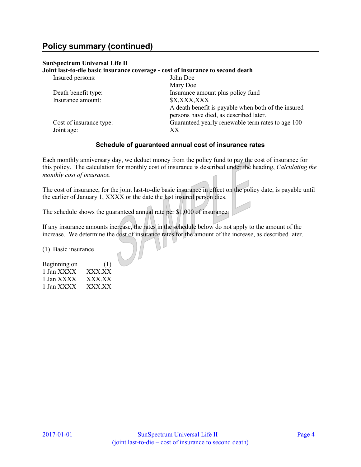# **Policy summary (continued)**

#### **SunSpectrum Universal Life II**

#### **Joint last-to-die basic insurance coverage - cost of insurance to second death**

| Insured persons:        | John Doe                                                                                      |
|-------------------------|-----------------------------------------------------------------------------------------------|
|                         | Mary Doe                                                                                      |
| Death benefit type:     | Insurance amount plus policy fund                                                             |
| Insurance amount:       | \$X,XXX,XXX                                                                                   |
|                         | A death benefit is payable when both of the insured<br>persons have died, as described later. |
| Cost of insurance type: | Guaranteed yearly renewable term rates to age 100                                             |
| Joint age:              | XX                                                                                            |

#### **Schedule of guaranteed annual cost of insurance rates**

Each monthly anniversary day, we deduct money from the policy fund to pay the cost of insurance for this policy. The calculation for monthly cost of insurance is described under the heading, *Calculating the monthly cost of insurance.*

The cost of insurance, for the joint last-to-die basic insurance in effect on the policy date, is payable until the earlier of January 1, XXXX or the date the last insured person dies.

The schedule shows the guaranteed annual rate per \$1,000 of insurance.

If any insurance amounts increase, the rates in the schedule below do not apply to the amount of the increase. We determine the cost of insurance rates for the amount of the increase, as described later.

(1) Basic insurance

| Beginning on | (1)    |
|--------------|--------|
| 1 Jan XXXX   | XXX.XX |
| 1 Jan XXXX   | XXX XX |
| 1 Jan XXXX   | XXX.XX |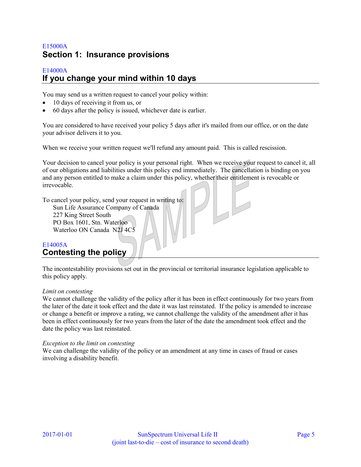# <span id="page-4-0"></span>E15000A **Section 1: Insurance provisions**

#### <span id="page-4-1"></span>E14000A **If you change your mind within 10 days**

You may send us a written request to cancel your policy within:

- 10 days of receiving it from us, or
- 60 days after the policy is issued, whichever date is earlier.

You are considered to have received your policy 5 days after it's mailed from our office, or on the date your advisor delivers it to you.

When we receive your written request we'll refund any amount paid. This is called rescission.

Your decision to cancel your policy is your personal right. When we receive your request to cancel it, all of our obligations and liabilities under this policy end immediately. The cancellation is binding on you and any person entitled to make a claim under this policy, whether their entitlement is revocable or irrevocable.

To cancel your policy, send your request in writing to: Sun Life Assurance Company of Canada 227 King Street South PO Box 1601, Stn. Waterloo Waterloo ON Canada N2J 4C5

## <span id="page-4-2"></span>E14005A **Contesting the policy**

The incontestability provisions set out in the provincial or territorial insurance legislation applicable to this policy apply.

#### *Limit on contesting*

We cannot challenge the validity of the policy after it has been in effect continuously for two years from the later of the date it took effect and the date it was last reinstated. If the policy is amended to increase or change a benefit or improve a rating, we cannot challenge the validity of the amendment after it has been in effect continuously for two years from the later of the date the amendment took effect and the date the policy was last reinstated.

#### *Exception to the limit on contesting*

We can challenge the validity of the policy or an amendment at any time in cases of fraud or cases involving a disability benefit.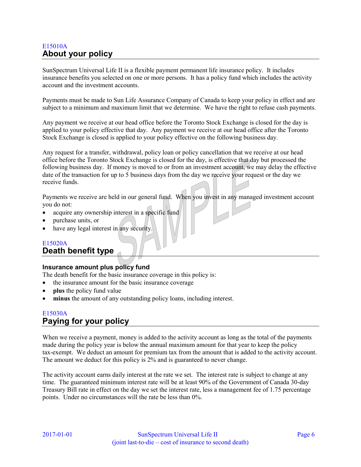## <span id="page-5-0"></span>E15010A **About your policy**

SunSpectrum Universal Life II is a flexible payment permanent life insurance policy. It includes insurance benefits you selected on one or more persons. It has a policy fund which includes the activity account and the investment accounts.

Payments must be made to Sun Life Assurance Company of Canada to keep your policy in effect and are subject to a minimum and maximum limit that we determine. We have the right to refuse cash payments.

Any payment we receive at our head office before the Toronto Stock Exchange is closed for the day is applied to your policy effective that day. Any payment we receive at our head office after the Toronto Stock Exchange is closed is applied to your policy effective on the following business day.

Any request for a transfer, withdrawal, policy loan or policy cancellation that we receive at our head office before the Toronto Stock Exchange is closed for the day, is effective that day but processed the following business day. If money is moved to or from an investment account, we may delay the effective date of the transaction for up to 5 business days from the day we receive your request or the day we receive funds.

Payments we receive are held in our general fund. When you invest in any managed investment account you do not:

- acquire any ownership interest in a specific fund
- purchase units, or
- have any legal interest in any security.

## E15020A

#### <span id="page-5-1"></span>**Death benefit type**

#### **Insurance amount plus policy fund**

The death benefit for the basic insurance coverage in this policy is:

- the insurance amount for the basic insurance coverage
- **plus** the policy fund value
- **minus** the amount of any outstanding policy loans, including interest.

### <span id="page-5-2"></span>E15030A **Paying for your policy**

When we receive a payment, money is added to the activity account as long as the total of the payments made during the policy year is below the annual maximum amount for that year to keep the policy tax-exempt. We deduct an amount for premium tax from the amount that is added to the activity account. The amount we deduct for this policy is 2% and is guaranteed to never change.

The activity account earns daily interest at the rate we set. The interest rate is subject to change at any time. The guaranteed minimum interest rate will be at least 90% of the Government of Canada 30-day Treasury Bill rate in effect on the day we set the interest rate, less a management fee of 1.75 percentage points. Under no circumstances will the rate be less than 0%.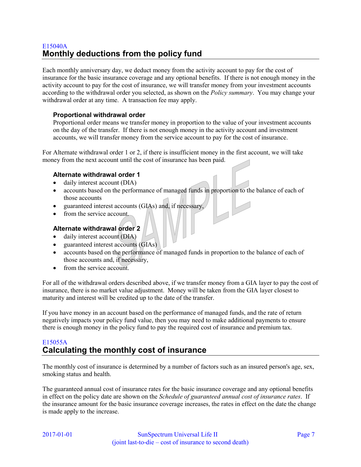## <span id="page-6-0"></span>E15040A **Monthly deductions from the policy fund**

Each monthly anniversary day, we deduct money from the activity account to pay for the cost of insurance for the basic insurance coverage and any optional benefits. If there is not enough money in the activity account to pay for the cost of insurance, we will transfer money from your investment accounts according to the withdrawal order you selected, as shown on the *Policy summary*. You may change your withdrawal order at any time. A transaction fee may apply.

#### **Proportional withdrawal order**

Proportional order means we transfer money in proportion to the value of your investment accounts on the day of the transfer. If there is not enough money in the activity account and investment accounts, we will transfer money from the service account to pay for the cost of insurance.

For Alternate withdrawal order 1 or 2, if there is insufficient money in the first account, we will take money from the next account until the cost of insurance has been paid.

#### **Alternate withdrawal order 1**

- daily interest account (DIA)
- accounts based on the performance of managed funds in proportion to the balance of each of those accounts
- guaranteed interest accounts (GIAs) and, if necessary,
- from the service account.

#### **Alternate withdrawal order 2**

- daily interest account (DIA)
- guaranteed interest accounts (GIAs)
- accounts based on the performance of managed funds in proportion to the balance of each of those accounts and, if necessary,
- from the service account.

For all of the withdrawal orders described above, if we transfer money from a GIA layer to pay the cost of insurance, there is no market value adjustment. Money will be taken from the GIA layer closest to maturity and interest will be credited up to the date of the transfer.

If you have money in an account based on the performance of managed funds, and the rate of return negatively impacts your policy fund value, then you may need to make additional payments to ensure there is enough money in the policy fund to pay the required cost of insurance and premium tax.

## <span id="page-6-1"></span>E15055A **Calculating the monthly cost of insurance**

The monthly cost of insurance is determined by a number of factors such as an insured person's age, sex, smoking status and health.

The guaranteed annual cost of insurance rates for the basic insurance coverage and any optional benefits in effect on the policy date are shown on the *Schedule of guaranteed annual cost of insurance rates*. If the insurance amount for the basic insurance coverage increases, the rates in effect on the date the change is made apply to the increase.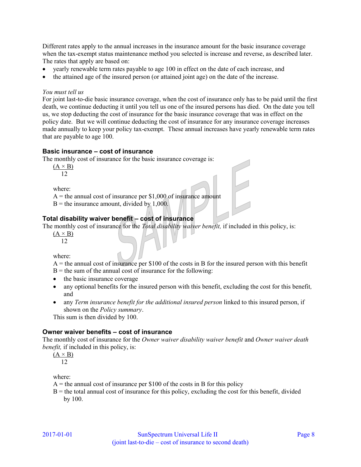Different rates apply to the annual increases in the insurance amount for the basic insurance coverage when the tax-exempt status maintenance method you selected is increase and reverse, as described later. The rates that apply are based on:

- yearly renewable term rates payable to age 100 in effect on the date of each increase, and
- the attained age of the insured person (or attained joint age) on the date of the increase.

#### *You must tell us*

For joint last-to-die basic insurance coverage, when the cost of insurance only has to be paid until the first death, we continue deducting it until you tell us one of the insured persons has died. On the date you tell us, we stop deducting the cost of insurance for the basic insurance coverage that was in effect on the policy date. But we will continue deducting the cost of insurance for any insurance coverage increases made annually to keep your policy tax-exempt. These annual increases have yearly renewable term rates that are payable to age 100.

#### **Basic insurance – cost of insurance**

The monthly cost of insurance for the basic insurance coverage is:

 $(A \times B)$ 

12

where:

 $A =$  the annual cost of insurance per \$1,000 of insurance amount

 $B =$  the insurance amount, divided by 1,000.

#### **Total disability waiver benefit – cost of insurance**

The monthly cost of insurance for the *Total disability waiver benefit,* if included in this policy, is:

 $(A \times B)$ 12

where:

 $A =$  the annual cost of insurance per \$100 of the costs in B for the insured person with this benefit

 $B =$  the sum of the annual cost of insurance for the following:

- the basic insurance coverage
- any optional benefits for the insured person with this benefit, excluding the cost for this benefit*,* and
- any *Term insurance benefit for the additional insured person* linked to this insured person, if shown on the *Policy summary*.

This sum is then divided by 100.

#### **Owner waiver benefits – cost of insurance**

The monthly cost of insurance for the *Owner waiver disability waiver benefit* and *Owner waiver death benefit,* if included in this policy, is:

 $(A \times B)$ 12

where:

 $A =$  the annual cost of insurance per \$100 of the costs in B for this policy

 $B =$  the total annual cost of insurance for this policy, excluding the cost for this benefit, divided by 100.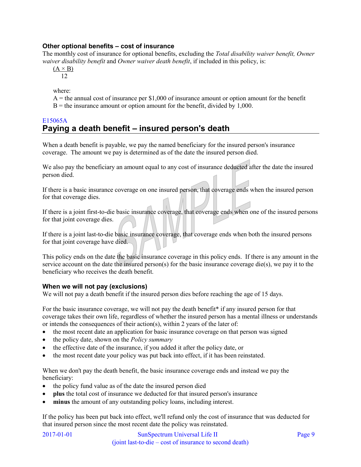### **Other optional benefits – cost of insurance**

The monthly cost of insurance for optional benefits, excluding the *Total disability waiver benefit, Owner waiver disability benefit* and *Owner waiver death benefit*, if included in this policy, is:

 $(A \times B)$ 12

where:

 $A =$  the annual cost of insurance per \$1,000 of insurance amount or option amount for the benefit  $B =$  the insurance amount or option amount for the benefit, divided by 1,000.

### <span id="page-8-0"></span>E15065A **Paying a death benefit – insured person's death**

When a death benefit is payable, we pay the named beneficiary for the insured person's insurance coverage. The amount we pay is determined as of the date the insured person died.

We also pay the beneficiary an amount equal to any cost of insurance deducted after the date the insured person died.

If there is a basic insurance coverage on one insured person, that coverage ends when the insured person for that coverage dies.

If there is a joint first-to-die basic insurance coverage, that coverage ends when one of the insured persons for that joint coverage dies.

If there is a joint last-to-die basic insurance coverage, that coverage ends when both the insured persons for that joint coverage have died.

This policy ends on the date the basic insurance coverage in this policy ends. If there is any amount in the service account on the date the insured person(s) for the basic insurance coverage die(s), we pay it to the beneficiary who receives the death benefit.

#### **When we will not pay (exclusions)**

We will not pay a death benefit if the insured person dies before reaching the age of 15 days.

For the basic insurance coverage, we will not pay the death benefit<sup>\*</sup> if any insured person for that coverage takes their own life, regardless of whether the insured person has a mental illness or understands or intends the consequences of their action(s), within 2 years of the later of:

- the most recent date an application for basic insurance coverage on that person was signed
- the policy date, shown on the *Policy summary*
- the effective date of the insurance, if you added it after the policy date, or
- the most recent date your policy was put back into effect, if it has been reinstated.

When we don't pay the death benefit, the basic insurance coverage ends and instead we pay the beneficiary:

- the policy fund value as of the date the insured person died
- **plus** the total cost of insurance we deducted for that insured person's insurance
- **minus** the amount of any outstanding policy loans, including interest.

If the policy has been put back into effect, we'll refund only the cost of insurance that was deducted for that insured person since the most recent date the policy was reinstated.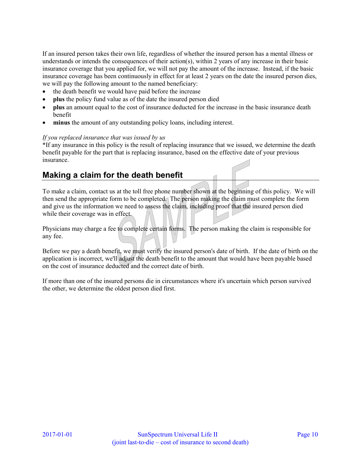If an insured person takes their own life, regardless of whether the insured person has a mental illness or understands or intends the consequences of their action(s), within 2 years of any increase in their basic insurance coverage that you applied for, we will not pay the amount of the increase. Instead, if the basic insurance coverage has been continuously in effect for at least 2 years on the date the insured person dies, we will pay the following amount to the named beneficiary:

- the death benefit we would have paid before the increase
- **plus** the policy fund value as of the date the insured person died
- **plus** an amount equal to the cost of insurance deducted for the increase in the basic insurance death benefit
- **minus** the amount of any outstanding policy loans, including interest.

#### *If you replaced insurance that was issued by us*

\*If any insurance in this policy is the result of replacing insurance that we issued, we determine the death benefit payable for the part that is replacing insurance, based on the effective date of your previous insurance.

# <span id="page-9-0"></span>**Making a claim for the death benefit**

To make a claim, contact us at the toll free phone number shown at the beginning of this policy. We will then send the appropriate form to be completed. The person making the claim must complete the form and give us the information we need to assess the claim, including proof that the insured person died while their coverage was in effect.

Physicians may charge a fee to complete certain forms. The person making the claim is responsible for any fee.

Before we pay a death benefit, we must verify the insured person's date of birth. If the date of birth on the application is incorrect, we'll adjust the death benefit to the amount that would have been payable based on the cost of insurance deducted and the correct date of birth.

If more than one of the insured persons die in circumstances where it's uncertain which person survived the other, we determine the oldest person died first.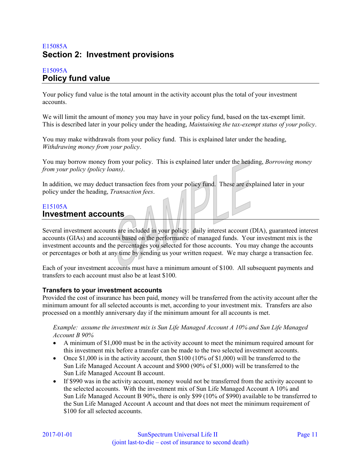# <span id="page-10-0"></span>E15085A **Section 2: Investment provisions**

### <span id="page-10-1"></span>E15095A **Policy fund value**

Your policy fund value is the total amount in the activity account plus the total of your investment accounts.

We will limit the amount of money you may have in your policy fund, based on the tax-exempt limit. This is described later in your policy under the heading, *Maintaining the tax-exempt status of your policy*.

You may make withdrawals from your policy fund. This is explained later under the heading, *Withdrawing money from your policy*.

You may borrow money from your policy. This is explained later under the heading, *Borrowing money from your policy (policy loans)*.

In addition, we may deduct transaction fees from your policy fund. These are explained later in your policy under the heading, *Transaction fees*.

### <span id="page-10-2"></span>E15105A **Investment accounts**

Several investment accounts are included in your policy: daily interest account (DIA), guaranteed interest accounts (GIAs) and accounts based on the performance of managed funds. Your investment mix is the investment accounts and the percentages you selected for those accounts. You may change the accounts or percentages or both at any time by sending us your written request. We may charge a transaction fee.

Each of your investment accounts must have a minimum amount of \$100. All subsequent payments and transfers to each account must also be at least \$100.

#### **Transfers to your investment accounts**

Provided the cost of insurance has been paid, money will be transferred from the activity account after the minimum amount for all selected accounts is met, according to your investment mix. Transfers are also processed on a monthly anniversary day if the minimum amount for all accounts is met.

*Example: assume the investment mix is Sun Life Managed Account A 10% and Sun Life Managed Account B 90%* 

- A minimum of \$1,000 must be in the activity account to meet the minimum required amount for this investment mix before a transfer can be made to the two selected investment accounts.
- Once \$1,000 is in the activity account, then  $$100$  (10% of  $$1,000$ ) will be transferred to the Sun Life Managed Account A account and \$900 (90% of \$1,000) will be transferred to the Sun Life Managed Account B account.
- If \$990 was in the activity account, money would not be transferred from the activity account to the selected accounts. With the investment mix of Sun Life Managed Account A 10% and Sun Life Managed Account B 90%, there is only \$99 (10% of \$990) available to be transferred to the Sun Life Managed Account A account and that does not meet the minimum requirement of \$100 for all selected accounts.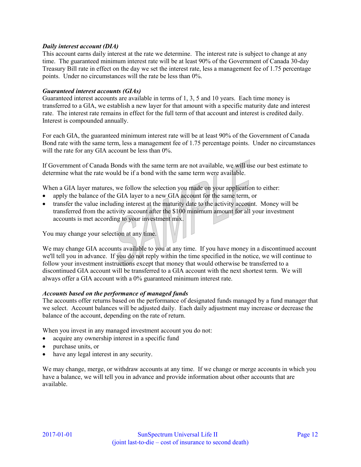#### *Daily interest account (DIA)*

This account earns daily interest at the rate we determine. The interest rate is subject to change at any time. The guaranteed minimum interest rate will be at least 90% of the Government of Canada 30-day Treasury Bill rate in effect on the day we set the interest rate, less a management fee of 1.75 percentage points. Under no circumstances will the rate be less than 0%.

#### *Guaranteed interest accounts (GIAs)*

Guaranteed interest accounts are available in terms of 1, 3, 5 and 10 years. Each time money is transferred to a GIA, we establish a new layer for that amount with a specific maturity date and interest rate. The interest rate remains in effect for the full term of that account and interest is credited daily. Interest is compounded annually.

For each GIA, the guaranteed minimum interest rate will be at least 90% of the Government of Canada Bond rate with the same term, less a management fee of 1.75 percentage points. Under no circumstances will the rate for any GIA account be less than  $0\%$ .

If Government of Canada Bonds with the same term are not available, we will use our best estimate to determine what the rate would be if a bond with the same term were available.

When a GIA layer matures, we follow the selection you made on your application to either:

- apply the balance of the GIA layer to a new GIA account for the same term, or
- transfer the value including interest at the maturity date to the activity account. Money will be transferred from the activity account after the \$100 minimum amount for all your investment accounts is met according to your investment mix.

You may change your selection at any time.

We may change GIA accounts available to you at any time. If you have money in a discontinued account we'll tell you in advance. If you do not reply within the time specified in the notice, we will continue to follow your investment instructions except that money that would otherwise be transferred to a discontinued GIA account will be transferred to a GIA account with the next shortest term. We will always offer a GIA account with a 0% guaranteed minimum interest rate.

#### *Accounts based on the performance of managed funds*

The accounts offer returns based on the performance of designated funds managed by a fund manager that we select. Account balances will be adjusted daily. Each daily adjustment may increase or decrease the balance of the account, depending on the rate of return.

When you invest in any managed investment account you do not:

- acquire any ownership interest in a specific fund
- purchase units, or
- have any legal interest in any security.

We may change, merge, or withdraw accounts at any time. If we change or merge accounts in which you have a balance, we will tell you in advance and provide information about other accounts that are available.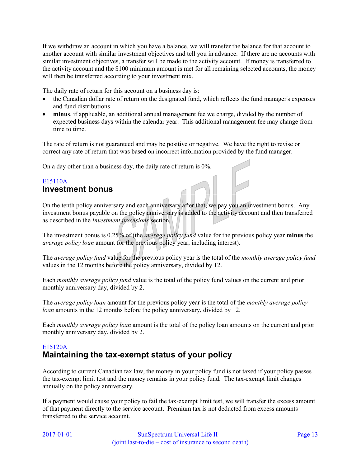If we withdraw an account in which you have a balance, we will transfer the balance for that account to another account with similar investment objectives and tell you in advance. If there are no accounts with similar investment objectives, a transfer will be made to the activity account. If money is transferred to the activity account and the \$100 minimum amount is met for all remaining selected accounts, the money will then be transferred according to your investment mix.

The daily rate of return for this account on a business day is:

- the Canadian dollar rate of return on the designated fund, which reflects the fund manager's expenses and fund distributions
- **minus**, if applicable, an additional annual management fee we charge, divided by the number of expected business days within the calendar year. This additional management fee may change from time to time.

The rate of return is not guaranteed and may be positive or negative. We have the right to revise or correct any rate of return that was based on incorrect information provided by the fund manager.

On a day other than a business day, the daily rate of return is 0%.

### <span id="page-12-0"></span>E15110A **Investment bonus**

On the tenth policy anniversary and each anniversary after that, we pay you an investment bonus. Any investment bonus payable on the policy anniversary is added to the activity account and then transferred as described in the *Investment provisions* section*.*

The investment bonus is 0.25% of (the *average policy fund* value for the previous policy year **minus** the *average policy loan* amount for the previous policy year, including interest).

The *average policy fund* value for the previous policy year is the total of the *monthly average policy fund* values in the 12 months before the policy anniversary, divided by 12.

Each *monthly average policy fund* value is the total of the policy fund values on the current and prior monthly anniversary day, divided by 2.

The *average policy loan* amount for the previous policy year is the total of the *monthly average policy loan* amounts in the 12 months before the policy anniversary, divided by 12.

Each *monthly average policy loan* amount is the total of the policy loan amounts on the current and prior monthly anniversary day, divided by 2.

### <span id="page-12-1"></span>E15120A **Maintaining the tax-exempt status of your policy**

According to current Canadian tax law, the money in your policy fund is not taxed if your policy passes the tax-exempt limit test and the money remains in your policy fund. The tax-exempt limit changes annually on the policy anniversary.

If a payment would cause your policy to fail the tax-exempt limit test, we will transfer the excess amount of that payment directly to the service account. Premium tax is not deducted from excess amounts transferred to the service account.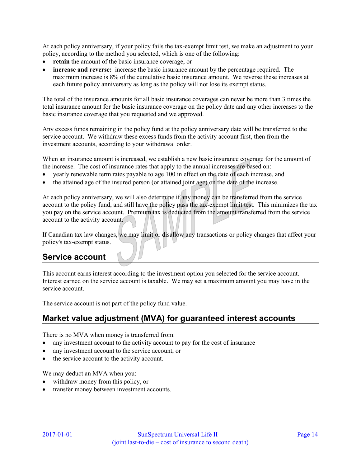At each policy anniversary, if your policy fails the tax-exempt limit test, we make an adjustment to your policy, according to the method you selected, which is one of the following:

- **retain** the amount of the basic insurance coverage, or
- **increase and reverse:** increase the basic insurance amount by the percentage required. The maximum increase is 8% of the cumulative basic insurance amount. We reverse these increases at each future policy anniversary as long as the policy will not lose its exempt status.

The total of the insurance amounts for all basic insurance coverages can never be more than 3 times the total insurance amount for the basic insurance coverage on the policy date and any other increases to the basic insurance coverage that you requested and we approved.

Any excess funds remaining in the policy fund at the policy anniversary date will be transferred to the service account. We withdraw these excess funds from the activity account first, then from the investment accounts, according to your withdrawal order.

When an insurance amount is increased, we establish a new basic insurance coverage for the amount of the increase. The cost of insurance rates that apply to the annual increases are based on:

- yearly renewable term rates payable to age 100 in effect on the date of each increase, and
- the attained age of the insured person (or attained joint age) on the date of the increase.

At each policy anniversary, we will also determine if any money can be transferred from the service account to the policy fund, and still have the policy pass the tax-exempt limit test. This minimizes the tax you pay on the service account. Premium tax is deducted from the amount transferred from the service account to the activity account.

If Canadian tax law changes, we may limit or disallow any transactions or policy changes that affect your policy's tax-exempt status.

# <span id="page-13-0"></span>**Service account**

This account earns interest according to the investment option you selected for the service account. Interest earned on the service account is taxable. We may set a maximum amount you may have in the service account.

The service account is not part of the policy fund value.

# <span id="page-13-1"></span>**Market value adjustment (MVA) for guaranteed interest accounts**

There is no MVA when money is transferred from:

- any investment account to the activity account to pay for the cost of insurance
- any investment account to the service account, or
- the service account to the activity account.

We may deduct an MVA when you:

- withdraw money from this policy, or
- transfer money between investment accounts.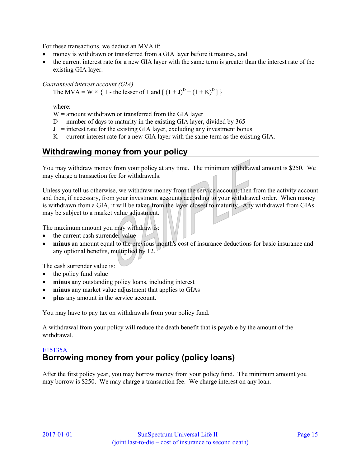For these transactions, we deduct an MVA if:

- money is withdrawn or transferred from a GIA layer before it matures, and
- the current interest rate for a new GIA layer with the same term is greater than the interest rate of the existing GIA layer.

#### *Guaranteed interest account (GIA)*

The MVA = W  $\times$  { 1 - the lesser of 1 and  $[(1+J)^D \div (1+K)^D]$  }

where:

 $W =$  amount withdrawn or transferred from the GIA layer

 $D =$  number of days to maturity in the existing GIA layer, divided by 365

 $J =$  interest rate for the existing GIA layer, excluding any investment bonus

 $K =$  current interest rate for a new GIA layer with the same term as the existing GIA.

# <span id="page-14-0"></span>**Withdrawing money from your policy**

You may withdraw money from your policy at any time. The minimum withdrawal amount is \$250. We may charge a transaction fee for withdrawals.

Unless you tell us otherwise, we withdraw money from the service account, then from the activity account and then, if necessary, from your investment accounts according to your withdrawal order. When money is withdrawn from a GIA, it will be taken from the layer closest to maturity. Any withdrawal from GIAs may be subject to a market value adjustment.

The maximum amount you may withdraw is:

- the current cash surrender value
- **minus** an amount equal to the previous month's cost of insurance deductions for basic insurance and any optional benefits, multiplied by 12.

The cash surrender value is:

- the policy fund value
- **minus** any outstanding policy loans, including interest
- **minus** any market value adjustment that applies to GIAs
- **plus** any amount in the service account.

You may have to pay tax on withdrawals from your policy fund.

A withdrawal from your policy will reduce the death benefit that is payable by the amount of the withdrawal.

### <span id="page-14-1"></span>E15135A **Borrowing money from your policy (policy loans)**

After the first policy year, you may borrow money from your policy fund. The minimum amount you may borrow is \$250. We may charge a transaction fee. We charge interest on any loan.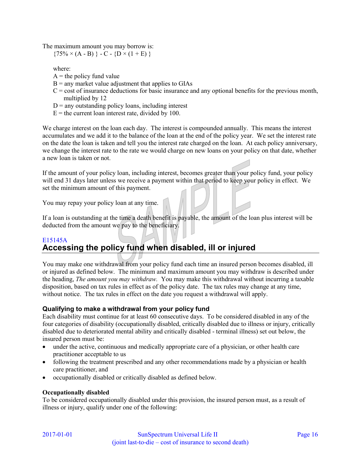The maximum amount you may borrow is:

 ${75\% \times (A - B)} - C - {D \times (1 + E)}$ 

where:

- $A =$  the policy fund value
- $B =$  any market value adjustment that applies to GIAs
- $C = \text{cost of insurance deductions}$  for basic insurance and any optional benefits for the previous month, multiplied by 12
- $D =$  any outstanding policy loans, including interest
- $E =$  the current loan interest rate, divided by 100.

We charge interest on the loan each day. The interest is compounded annually. This means the interest accumulates and we add it to the balance of the loan at the end of the policy year. We set the interest rate on the date the loan is taken and tell you the interest rate charged on the loan. At each policy anniversary, we change the interest rate to the rate we would charge on new loans on your policy on that date, whether a new loan is taken or not.

If the amount of your policy loan, including interest, becomes greater than your policy fund, your policy will end 31 days later unless we receive a payment within that period to keep your policy in effect. We set the minimum amount of this payment.

You may repay your policy loan at any time.

If a loan is outstanding at the time a death benefit is payable, the amount of the loan plus interest will be deducted from the amount we pay to the beneficiary.

# <span id="page-15-0"></span>E15145A **Accessing the policy fund when disabled, ill or injured**

You may make one withdrawal from your policy fund each time an insured person becomes disabled, ill or injured as defined below. The minimum and maximum amount you may withdraw is described under the heading, *The amount you may withdraw.* You may make this withdrawal without incurring a taxable disposition, based on tax rules in effect as of the policy date. The tax rules may change at any time, without notice. The tax rules in effect on the date you request a withdrawal will apply.

### **Qualifying to make a withdrawal from your policy fund**

Each disability must continue for at least 60 consecutive days. To be considered disabled in any of the four categories of disability (occupationally disabled, critically disabled due to illness or injury, critically disabled due to deteriorated mental ability and critically disabled - terminal illness) set out below, the insured person must be:

- under the active, continuous and medically appropriate care of a physician, or other health care practitioner acceptable to us
- following the treatment prescribed and any other recommendations made by a physician or health care practitioner, and
- occupationally disabled or critically disabled as defined below.

#### **Occupationally disabled**

To be considered occupationally disabled under this provision, the insured person must, as a result of illness or injury, qualify under one of the following: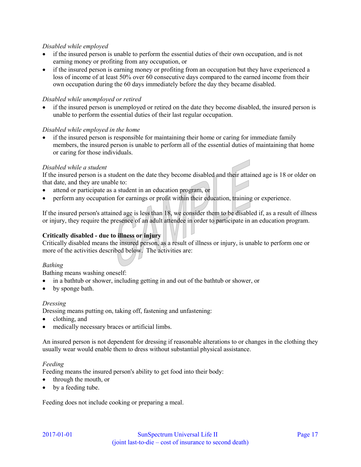#### *Disabled while employed*

- if the insured person is unable to perform the essential duties of their own occupation, and is not earning money or profiting from any occupation, or
- if the insured person is earning money or profiting from an occupation but they have experienced a loss of income of at least 50% over 60 consecutive days compared to the earned income from their own occupation during the 60 days immediately before the day they became disabled.

#### *Disabled while unemployed or retired*

 if the insured person is unemployed or retired on the date they become disabled, the insured person is unable to perform the essential duties of their last regular occupation.

#### *Disabled while employed in the home*

 if the insured person is responsible for maintaining their home or caring for immediate family members, the insured person is unable to perform all of the essential duties of maintaining that home or caring for those individuals.

#### *Disabled while a student*

If the insured person is a student on the date they become disabled and their attained age is 18 or older on that date, and they are unable to:

- attend or participate as a student in an education program, or
- perform any occupation for earnings or profit within their education, training or experience.

If the insured person's attained age is less than 18, we consider them to be disabled if, as a result of illness or injury, they require the presence of an adult attendee in order to participate in an education program.

#### **Critically disabled - due to illness or injury**

Critically disabled means the insured person, as a result of illness or injury, is unable to perform one or more of the activities described below. The activities are:

#### *Bathing*

Bathing means washing oneself:

- in a bathtub or shower, including getting in and out of the bathtub or shower, or
- by sponge bath.

#### *Dressing*

Dressing means putting on, taking off, fastening and unfastening:

- clothing, and
- medically necessary braces or artificial limbs.

An insured person is not dependent for dressing if reasonable alterations to or changes in the clothing they usually wear would enable them to dress without substantial physical assistance.

#### *Feeding*

Feeding means the insured person's ability to get food into their body:

- through the mouth, or
- by a feeding tube.

Feeding does not include cooking or preparing a meal.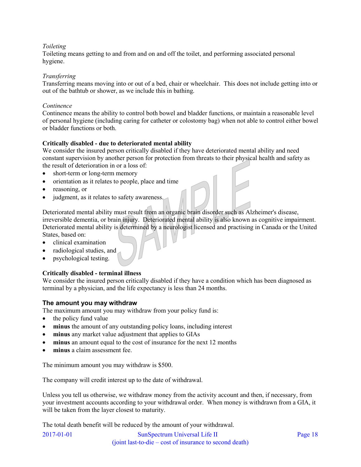#### *Toileting*

Toileting means getting to and from and on and off the toilet, and performing associated personal hygiene.

#### *Transferring*

Transferring means moving into or out of a bed, chair or wheelchair. This does not include getting into or out of the bathtub or shower, as we include this in bathing.

#### *Continence*

Continence means the ability to control both bowel and bladder functions, or maintain a reasonable level of personal hygiene (including caring for catheter or colostomy bag) when not able to control either bowel or bladder functions or both.

#### **Critically disabled - due to deteriorated mental ability**

We consider the insured person critically disabled if they have deteriorated mental ability and need constant supervision by another person for protection from threats to their physical health and safety as the result of deterioration in or a loss of:

- short-term or long-term memory
- orientation as it relates to people, place and time
- reasoning, or
- judgment, as it relates to safety awareness.

Deteriorated mental ability must result from an organic brain disorder such as Alzheimer's disease, irreversible dementia, or brain injury. Deteriorated mental ability is also known as cognitive impairment. Deteriorated mental ability is determined by a neurologist licensed and practising in Canada or the United States, based on:

- clinical examination
- radiological studies, and
- psychological testing.

#### **Critically disabled - terminal illness**

We consider the insured person critically disabled if they have a condition which has been diagnosed as terminal by a physician, and the life expectancy is less than 24 months.

#### **The amount you may withdraw**

The maximum amount you may withdraw from your policy fund is:

- $\bullet$  the policy fund value
- **minus** the amount of any outstanding policy loans, including interest
- **minus** any market value adjustment that applies to GIAs
- **minus** an amount equal to the cost of insurance for the next 12 months
- **minus** a claim assessment fee.

The minimum amount you may withdraw is \$500.

The company will credit interest up to the date of withdrawal.

Unless you tell us otherwise, we withdraw money from the activity account and then, if necessary, from your investment accounts according to your withdrawal order. When money is withdrawn from a GIA, it will be taken from the layer closest to maturity.

The total death benefit will be reduced by the amount of your withdrawal.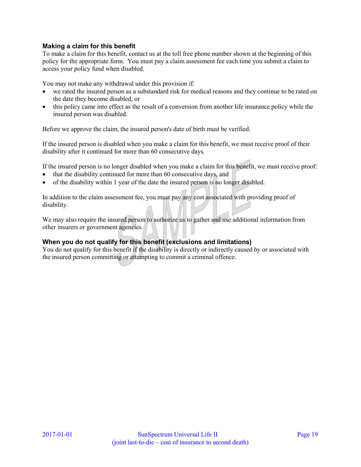#### **Making a claim for this benefit**

To make a claim for this benefit, contact us at the toll free phone number shown at the beginning of this policy for the appropriate form. You must pay a claim assessment fee each time you submit a claim to access your policy fund when disabled.

You may not make any withdrawal under this provision if:

- we rated the insured person as a substandard risk for medical reasons and they continue to be rated on the date they become disabled, or
- this policy came into effect as the result of a conversion from another life insurance policy while the insured person was disabled.

Before we approve the claim, the insured person's date of birth must be verified.

If the insured person is disabled when you make a claim for this benefit, we must receive proof of their disability after it continued for more than 60 consecutive days.

If the insured person is no longer disabled when you make a claim for this benefit, we must receive proof:

- that the disability continued for more than 60 consecutive days, and
- of the disability within 1 year of the date the insured person is no longer disabled.

In addition to the claim assessment fee, you must pay any cost associated with providing proof of disability.

We may also require the insured person to authorize us to gather and use additional information from other insurers or government agencies.

#### **When you do not qualify for this benefit (exclusions and limitations)**

You do not qualify for this benefit if the disability is directly or indirectly caused by or associated with the insured person committing or attempting to commit a criminal offence.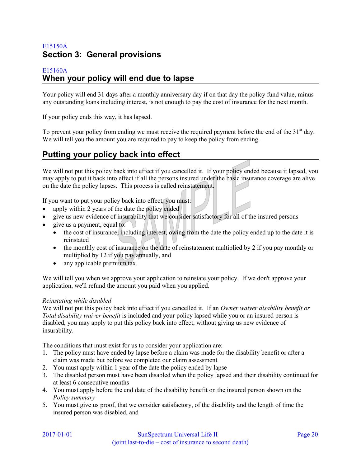# <span id="page-19-0"></span>E15150A **Section 3: General provisions**

#### <span id="page-19-1"></span>E15160A **When your policy will end due to lapse**

Your policy will end 31 days after a monthly anniversary day if on that day the policy fund value, minus any outstanding loans including interest, is not enough to pay the cost of insurance for the next month.

If your policy ends this way, it has lapsed.

To prevent your policy from ending we must receive the required payment before the end of the  $31<sup>st</sup>$  day. We will tell you the amount you are required to pay to keep the policy from ending.

# <span id="page-19-2"></span>**Putting your policy back into effect**

We will not put this policy back into effect if you cancelled it. If your policy ended because it lapsed, you may apply to put it back into effect if all the persons insured under the basic insurance coverage are alive on the date the policy lapses. This process is called reinstatement.

If you want to put your policy back into effect, you must:

- apply within 2 years of the date the policy ended
- give us new evidence of insurability that we consider satisfactory for all of the insured persons
- give us a payment, equal to:
	- the cost of insurance, including interest, owing from the date the policy ended up to the date it is reinstated
	- $\bullet$  the monthly cost of insurance on the date of reinstatement multiplied by 2 if you pay monthly or multiplied by 12 if you pay annually, and
	- any applicable premium tax.

We will tell you when we approve your application to reinstate your policy. If we don't approve your application, we'll refund the amount you paid when you applied.

#### *Reinstating while disabled*

We will not put this policy back into effect if you cancelled it. If an *Owner waiver disability benefit or Total disability waiver benefit* is included and your policy lapsed while you or an insured person is disabled, you may apply to put this policy back into effect, without giving us new evidence of insurability.

The conditions that must exist for us to consider your application are:

- 1. The policy must have ended by lapse before a claim was made for the disability benefit or after a claim was made but before we completed our claim assessment
- 2. You must apply within 1 year of the date the policy ended by lapse
- 3. The disabled person must have been disabled when the policy lapsed and their disability continued for at least 6 consecutive months
- 4. You must apply before the end date of the disability benefit on the insured person shown on the *Policy summary*
- 5. You must give us proof, that we consider satisfactory, of the disability and the length of time the insured person was disabled, and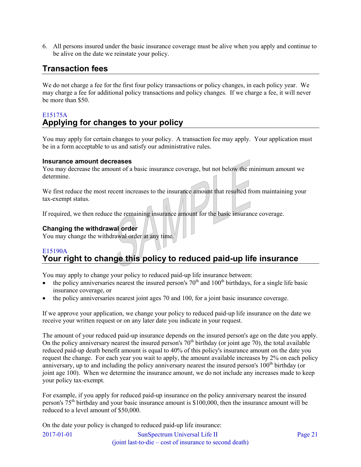6. All persons insured under the basic insurance coverage must be alive when you apply and continue to be alive on the date we reinstate your policy.

# <span id="page-20-0"></span>**Transaction fees**

We do not charge a fee for the first four policy transactions or policy changes, in each policy year. We may charge a fee for additional policy transactions and policy changes. If we charge a fee, it will never be more than \$50.

# <span id="page-20-1"></span>E15175A **Applying for changes to your policy**

You may apply for certain changes to your policy. A transaction fee may apply. Your application must be in a form acceptable to us and satisfy our administrative rules.

#### **Insurance amount decreases**

You may decrease the amount of a basic insurance coverage, but not below the minimum amount we determine.

We first reduce the most recent increases to the insurance amount that resulted from maintaining your tax-exempt status.

If required, we then reduce the remaining insurance amount for the basic insurance coverage.

### **Changing the withdrawal order**

You may change the withdrawal order at any time.

### <span id="page-20-2"></span>E15190A **Your right to change this policy to reduced paid-up life insurance**

You may apply to change your policy to reduced paid-up life insurance between:

- $\bullet$  the policy anniversaries nearest the insured person's  $70<sup>th</sup>$  and  $100<sup>th</sup>$  birthdays, for a single life basic insurance coverage, or
- the policy anniversaries nearest joint ages 70 and 100, for a joint basic insurance coverage.

If we approve your application, we change your policy to reduced paid-up life insurance on the date we receive your written request or on any later date you indicate in your request.

The amount of your reduced paid-up insurance depends on the insured person's age on the date you apply. On the policy anniversary nearest the insured person's  $70<sup>th</sup>$  birthday (or joint age 70), the total available reduced paid-up death benefit amount is equal to 40% of this policy's insurance amount on the date you request the change. For each year you wait to apply, the amount available increases by 2% on each policy anniversary, up to and including the policy anniversary nearest the insured person's  $100<sup>th</sup>$  birthday (or joint age 100). When we determine the insurance amount, we do not include any increases made to keep your policy tax-exempt.

For example, if you apply for reduced paid-up insurance on the policy anniversary nearest the insured person's 75th birthday and your basic insurance amount is \$100,000, then the insurance amount will be reduced to a level amount of \$50,000.

On the date your policy is changed to reduced paid-up life insurance: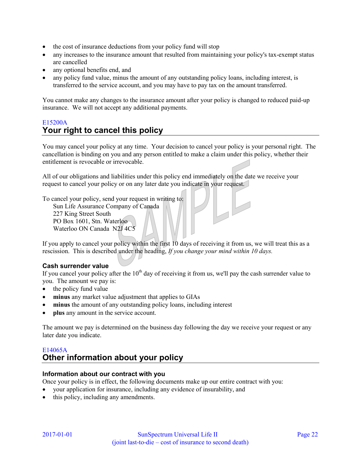- the cost of insurance deductions from your policy fund will stop
- any increases to the insurance amount that resulted from maintaining your policy's tax-exempt status are cancelled
- any optional benefits end, and
- any policy fund value, minus the amount of any outstanding policy loans, including interest, is transferred to the service account, and you may have to pay tax on the amount transferred.

You cannot make any changes to the insurance amount after your policy is changed to reduced paid-up insurance. We will not accept any additional payments.

### <span id="page-21-0"></span>E15200A **Your right to cancel this policy**

You may cancel your policy at any time. Your decision to cancel your policy is your personal right. The cancellation is binding on you and any person entitled to make a claim under this policy, whether their entitlement is revocable or irrevocable.

All of our obligations and liabilities under this policy end immediately on the date we receive your request to cancel your policy or on any later date you indicate in your request.

To cancel your policy, send your request in writing to:

Sun Life Assurance Company of Canada 227 King Street South PO Box 1601, Stn. Waterloo Waterloo ON Canada N2J 4C5

If you apply to cancel your policy within the first 10 days of receiving it from us, we will treat this as a rescission. This is described under the heading, *If you change your mind within 10 days.* 

#### **Cash surrender value**

If you cancel your policy after the  $10<sup>th</sup>$  day of receiving it from us, we'll pay the cash surrender value to you. The amount we pay is:

- $\bullet$  the policy fund value
- **minus** any market value adjustment that applies to GIAs
- **minus** the amount of any outstanding policy loans, including interest
- **plus** any amount in the service account.

The amount we pay is determined on the business day following the day we receive your request or any later date you indicate.

## <span id="page-21-1"></span>E14065A **Other information about your policy**

#### **Information about our contract with you**

Once your policy is in effect, the following documents make up our entire contract with you:

- your application for insurance, including any evidence of insurability, and
- this policy, including any amendments.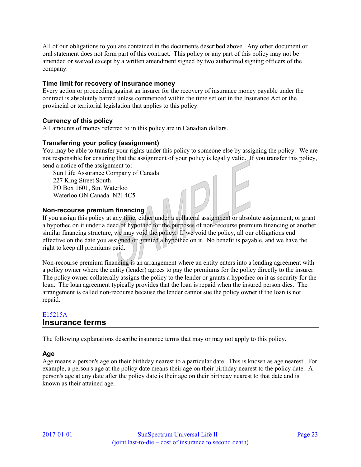All of our obligations to you are contained in the documents described above. Any other document or oral statement does not form part of this contract. This policy or any part of this policy may not be amended or waived except by a written amendment signed by two authorized signing officers of the company.

#### **Time limit for recovery of insurance money**

Every action or proceeding against an insurer for the recovery of insurance money payable under the contract is absolutely barred unless commenced within the time set out in the Insurance Act or the provincial or territorial legislation that applies to this policy.

### **Currency of this policy**

All amounts of money referred to in this policy are in Canadian dollars.

#### **Transferring your policy (assignment)**

You may be able to transfer your rights under this policy to someone else by assigning the policy. We are not responsible for ensuring that the assignment of your policy is legally valid. If you transfer this policy, send a notice of the assignment to:

Sun Life Assurance Company of Canada 227 King Street South PO Box 1601, Stn. Waterloo Waterloo ON Canada N2J 4C5

#### **Non-recourse premium financing**

If you assign this policy at any time, either under a collateral assignment or absolute assignment, or grant a hypothec on it under a deed of hypothec for the purposes of non-recourse premium financing or another similar financing structure, we may void the policy. If we void the policy, all our obligations end effective on the date you assigned or granted a hypothec on it. No benefit is payable, and we have the right to keep all premiums paid.

Non-recourse premium financing is an arrangement where an entity enters into a lending agreement with a policy owner where the entity (lender) agrees to pay the premiums for the policy directly to the insurer. The policy owner collaterally assigns the policy to the lender or grants a hypothec on it as security for the loan. The loan agreement typically provides that the loan is repaid when the insured person dies. The arrangement is called non-recourse because the lender cannot sue the policy owner if the loan is not repaid.

### <span id="page-22-0"></span>E15215A **Insurance terms**

The following explanations describe insurance terms that may or may not apply to this policy.

### **Age**

Age means a person's age on their birthday nearest to a particular date. This is known as age nearest. For example, a person's age at the policy date means their age on their birthday nearest to the policy date. A person's age at any date after the policy date is their age on their birthday nearest to that date and is known as their attained age.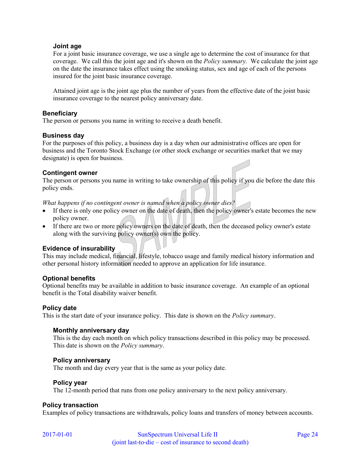#### **Joint age**

For a joint basic insurance coverage, we use a single age to determine the cost of insurance for that coverage. We call this the joint age and it's shown on the *Policy summary.* We calculate the joint age on the date the insurance takes effect using the smoking status, sex and age of each of the persons insured for the joint basic insurance coverage.

Attained joint age is the joint age plus the number of years from the effective date of the joint basic insurance coverage to the nearest policy anniversary date.

#### **Beneficiary**

The person or persons you name in writing to receive a death benefit.

#### **Business day**

For the purposes of this policy, a business day is a day when our administrative offices are open for business and the Toronto Stock Exchange (or other stock exchange or securities market that we may designate) is open for business.

#### **Contingent owner**

The person or persons you name in writing to take ownership of this policy if you die before the date this policy ends.

*What happens if no contingent owner is named when a policy owner dies?* 

- If there is only one policy owner on the date of death, then the policy owner's estate becomes the new policy owner.
- If there are two or more policy owners on the date of death, then the deceased policy owner's estate along with the surviving policy owner(s) own the policy.

#### **Evidence of insurability**

This may include medical, financial, lifestyle, tobacco usage and family medical history information and other personal history information needed to approve an application for life insurance.

#### **Optional benefits**

Optional benefits may be available in addition to basic insurance coverage. An example of an optional benefit is the Total disability waiver benefit.

#### **Policy date**

This is the start date of your insurance policy. This date is shown on the *Policy summary*.

#### **Monthly anniversary day**

This is the day each month on which policy transactions described in this policy may be processed. This date is shown on the *Policy summary*.

#### **Policy anniversary**

The month and day every year that is the same as your policy date.

#### **Policy year**

The 12-month period that runs from one policy anniversary to the next policy anniversary.

#### **Policy transaction**

Examples of policy transactions are withdrawals, policy loans and transfers of money between accounts.